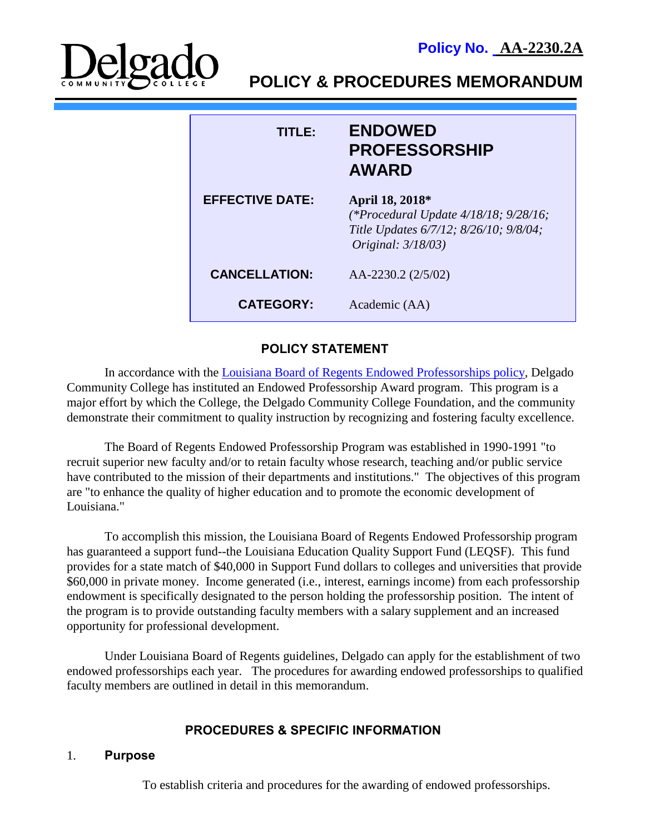



**POLICY & PROCEDURES MEMORANDUM**

| <b>TITLE:</b>          | <b>ENDOWED</b><br><b>PROFESSORSHIP</b><br><b>AWARD</b>                                                                                |
|------------------------|---------------------------------------------------------------------------------------------------------------------------------------|
| <b>EFFECTIVE DATE:</b> | April 18, 2018*<br>(*Procedural Update $4/18/18$ ; $9/28/16$ ;<br>Title Updates 6/7/12; 8/26/10; 9/8/04;<br><i>Original: 3/18/03)</i> |
| <b>CANCELLATION:</b>   | AA-2230.2 (2/5/02)                                                                                                                    |
| <b>CATEGORY:</b>       | Academic (AA)                                                                                                                         |

## **POLICY STATEMENT**

In accordance with the [Louisiana Board of Regents Endowed Professorships policy,](https://regents.la.gov/divisions/finance-facilities/policies-and-procedures/borsf-endowment-program-policies/) Delgado Community College has instituted an Endowed Professorship Award program. This program is a major effort by which the College, the Delgado Community College Foundation, and the community demonstrate their commitment to quality instruction by recognizing and fostering faculty excellence.

The Board of Regents Endowed Professorship Program was established in 1990-1991 "to recruit superior new faculty and/or to retain faculty whose research, teaching and/or public service have contributed to the mission of their departments and institutions." The objectives of this program are "to enhance the quality of higher education and to promote the economic development of Louisiana<sup>"</sup>

To accomplish this mission, the Louisiana Board of Regents Endowed Professorship program has guaranteed a support fund--the Louisiana Education Quality Support Fund (LEQSF). This fund provides for a state match of \$40,000 in Support Fund dollars to colleges and universities that provide \$60,000 in private money. Income generated (i.e., interest, earnings income) from each professorship endowment is specifically designated to the person holding the professorship position. The intent of the program is to provide outstanding faculty members with a salary supplement and an increased opportunity for professional development.

Under Louisiana Board of Regents guidelines, Delgado can apply for the establishment of two endowed professorships each year. The procedures for awarding endowed professorships to qualified faculty members are outlined in detail in this memorandum.

# **PROCEDURES & SPECIFIC INFORMATION**

### 1. **Purpose**

To establish criteria and procedures for the awarding of endowed professorships.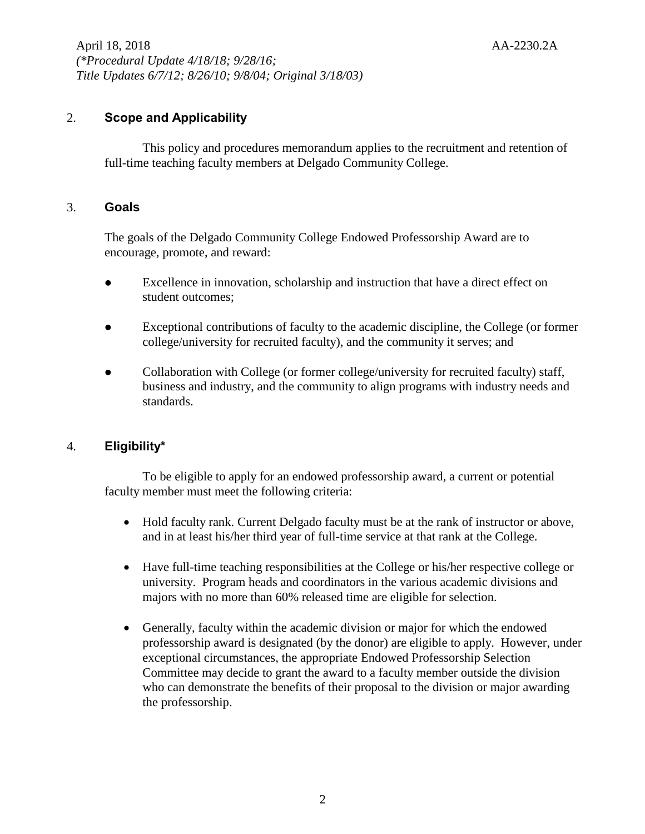## 2. **Scope and Applicability**

This policy and procedures memorandum applies to the recruitment and retention of full-time teaching faculty members at Delgado Community College.

### 3. **Goals**

The goals of the Delgado Community College Endowed Professorship Award are to encourage, promote, and reward:

- ⚫ Excellence in innovation, scholarship and instruction that have a direct effect on student outcomes;
- ⚫ Exceptional contributions of faculty to the academic discipline, the College (or former college/university for recruited faculty), and the community it serves; and
- ⚫ Collaboration with College (or former college/university for recruited faculty) staff, business and industry, and the community to align programs with industry needs and standards.

## 4. **Eligibility\***

To be eligible to apply for an endowed professorship award, a current or potential faculty member must meet the following criteria:

- Hold faculty rank. Current Delgado faculty must be at the rank of instructor or above, and in at least his/her third year of full-time service at that rank at the College.
- Have full-time teaching responsibilities at the College or his/her respective college or university. Program heads and coordinators in the various academic divisions and majors with no more than 60% released time are eligible for selection.
- Generally, faculty within the academic division or major for which the endowed professorship award is designated (by the donor) are eligible to apply. However, under exceptional circumstances, the appropriate Endowed Professorship Selection Committee may decide to grant the award to a faculty member outside the division who can demonstrate the benefits of their proposal to the division or major awarding the professorship.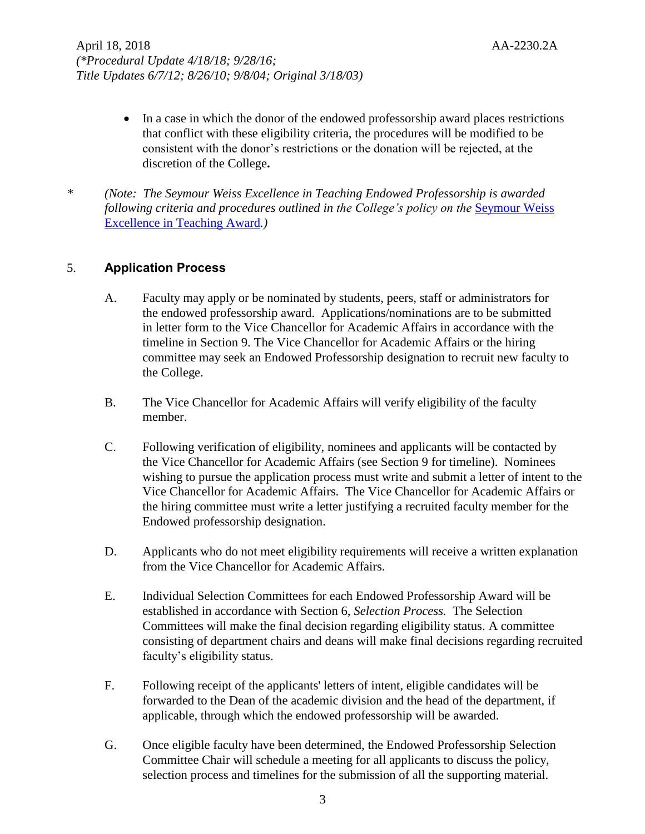- In a case in which the donor of the endowed professorship award places restrictions that conflict with these eligibility criteria, the procedures will be modified to be consistent with the donor's restrictions or the donation will be rejected, at the discretion of the College**.**
- *\* (Note: The Seymour Weiss Excellence in Teaching Endowed Professorship is awarded following criteria and procedures outlined in the College's policy on the* [Seymour Weiss](http://docushare3.dcc.edu/docushare/dsweb/Get/Document-139/2230-1E.pdf)  [Excellence in Teaching Award](http://docushare3.dcc.edu/docushare/dsweb/Get/Document-139/2230-1E.pdf)*.)*

### 5. **Application Process**

- A. Faculty may apply or be nominated by students, peers, staff or administrators for the endowed professorship award. Applications/nominations are to be submitted in letter form to the Vice Chancellor for Academic Affairs in accordance with the timeline in Section 9. The Vice Chancellor for Academic Affairs or the hiring committee may seek an Endowed Professorship designation to recruit new faculty to the College.
- B. The Vice Chancellor for Academic Affairs will verify eligibility of the faculty member.
- C. Following verification of eligibility, nominees and applicants will be contacted by the Vice Chancellor for Academic Affairs (see Section 9 for timeline). Nominees wishing to pursue the application process must write and submit a letter of intent to the Vice Chancellor for Academic Affairs. The Vice Chancellor for Academic Affairs or the hiring committee must write a letter justifying a recruited faculty member for the Endowed professorship designation.
- D. Applicants who do not meet eligibility requirements will receive a written explanation from the Vice Chancellor for Academic Affairs.
- E. Individual Selection Committees for each Endowed Professorship Award will be established in accordance with Section 6, *Selection Process.* The Selection Committees will make the final decision regarding eligibility status. A committee consisting of department chairs and deans will make final decisions regarding recruited faculty's eligibility status.
- F. Following receipt of the applicants' letters of intent, eligible candidates will be forwarded to the Dean of the academic division and the head of the department, if applicable, through which the endowed professorship will be awarded.
- G. Once eligible faculty have been determined, the Endowed Professorship Selection Committee Chair will schedule a meeting for all applicants to discuss the policy, selection process and timelines for the submission of all the supporting material.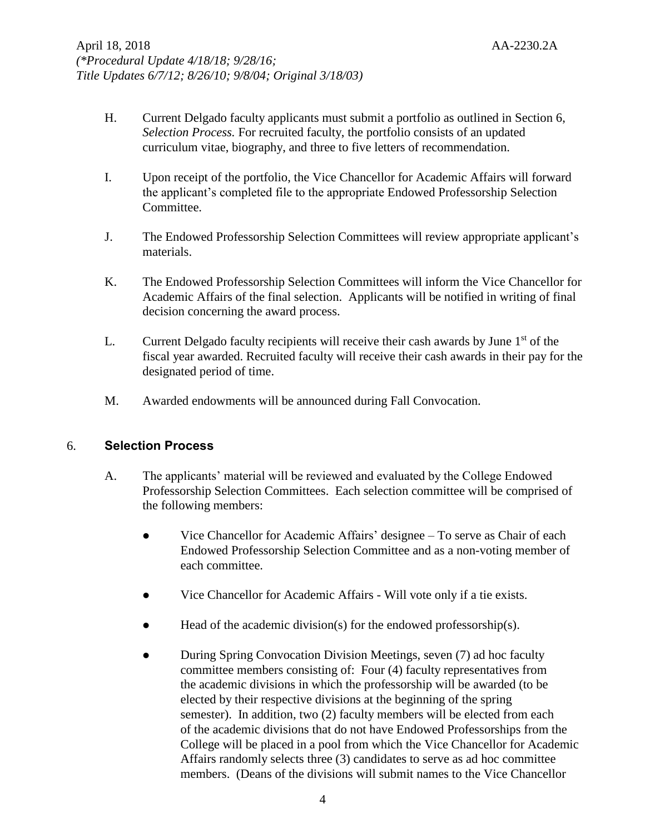- H. Current Delgado faculty applicants must submit a portfolio as outlined in Section 6, *Selection Process.* For recruited faculty, the portfolio consists of an updated curriculum vitae, biography, and three to five letters of recommendation.
- I. Upon receipt of the portfolio, the Vice Chancellor for Academic Affairs will forward the applicant's completed file to the appropriate Endowed Professorship Selection Committee.
- J. The Endowed Professorship Selection Committees will review appropriate applicant's materials.
- K. The Endowed Professorship Selection Committees will inform the Vice Chancellor for Academic Affairs of the final selection. Applicants will be notified in writing of final decision concerning the award process.
- L. Current Delgado faculty recipients will receive their cash awards by June  $1<sup>st</sup>$  of the fiscal year awarded. Recruited faculty will receive their cash awards in their pay for the designated period of time.
- M. Awarded endowments will be announced during Fall Convocation.

## 6. **Selection Process**

- A. The applicants' material will be reviewed and evaluated by the College Endowed Professorship Selection Committees. Each selection committee will be comprised of the following members:
	- ⚫ Vice Chancellor for Academic Affairs' designee To serve as Chair of each Endowed Professorship Selection Committee and as a non-voting member of each committee.
	- ⚫ Vice Chancellor for Academic Affairs Will vote only if a tie exists.
	- Head of the academic division(s) for the endowed professorship(s).
	- During Spring Convocation Division Meetings, seven (7) ad hoc faculty committee members consisting of: Four (4) faculty representatives from the academic divisions in which the professorship will be awarded (to be elected by their respective divisions at the beginning of the spring semester). In addition, two (2) faculty members will be elected from each of the academic divisions that do not have Endowed Professorships from the College will be placed in a pool from which the Vice Chancellor for Academic Affairs randomly selects three (3) candidates to serve as ad hoc committee members. (Deans of the divisions will submit names to the Vice Chancellor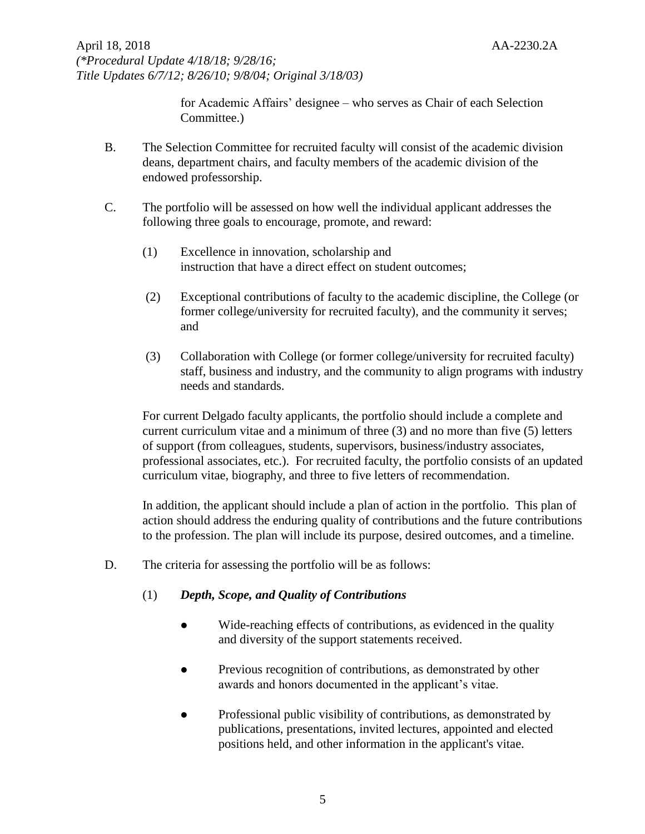for Academic Affairs' designee – who serves as Chair of each Selection Committee.)

- B. The Selection Committee for recruited faculty will consist of the academic division deans, department chairs, and faculty members of the academic division of the endowed professorship.
- C. The portfolio will be assessed on how well the individual applicant addresses the following three goals to encourage, promote, and reward:
	- (1) Excellence in innovation, scholarship and instruction that have a direct effect on student outcomes;
	- (2) Exceptional contributions of faculty to the academic discipline, the College (or former college/university for recruited faculty), and the community it serves; and
	- (3) Collaboration with College (or former college/university for recruited faculty) staff, business and industry, and the community to align programs with industry needs and standards.

For current Delgado faculty applicants, the portfolio should include a complete and current curriculum vitae and a minimum of three (3) and no more than five (5) letters of support (from colleagues, students, supervisors, business/industry associates, professional associates, etc.). For recruited faculty, the portfolio consists of an updated curriculum vitae, biography, and three to five letters of recommendation.

In addition, the applicant should include a plan of action in the portfolio. This plan of action should address the enduring quality of contributions and the future contributions to the profession. The plan will include its purpose, desired outcomes, and a timeline.

- D. The criteria for assessing the portfolio will be as follows:
	- (1) *Depth, Scope, and Quality of Contributions*
		- ⚫ Wide-reaching effects of contributions, as evidenced in the quality and diversity of the support statements received.
		- ⚫ Previous recognition of contributions, as demonstrated by other awards and honors documented in the applicant's vitae.
		- Professional public visibility of contributions, as demonstrated by publications, presentations, invited lectures, appointed and elected positions held, and other information in the applicant's vitae.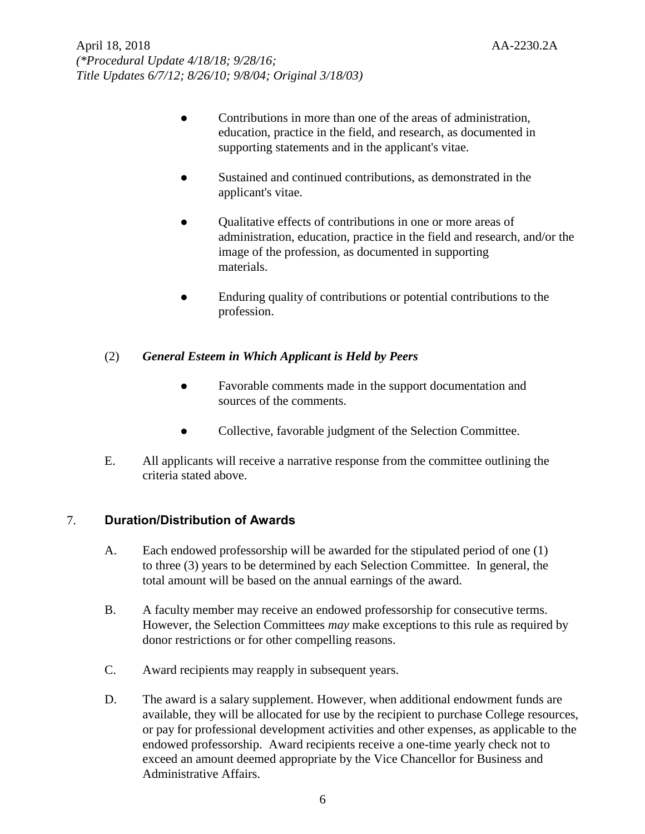- Contributions in more than one of the areas of administration, education, practice in the field, and research, as documented in supporting statements and in the applicant's vitae.
- ⚫ Sustained and continued contributions, as demonstrated in the applicant's vitae.
- ⚫ Qualitative effects of contributions in one or more areas of administration, education, practice in the field and research, and/or the image of the profession, as documented in supporting materials.
- Enduring quality of contributions or potential contributions to the profession.

## (2) *General Esteem in Which Applicant is Held by Peers*

- ⚫ Favorable comments made in the support documentation and sources of the comments.
- ⚫ Collective, favorable judgment of the Selection Committee.
- E. All applicants will receive a narrative response from the committee outlining the criteria stated above.

# 7. **Duration/Distribution of Awards**

- A. Each endowed professorship will be awarded for the stipulated period of one (1) to three (3) years to be determined by each Selection Committee. In general, the total amount will be based on the annual earnings of the award.
- B. A faculty member may receive an endowed professorship for consecutive terms. However, the Selection Committees *may* make exceptions to this rule as required by donor restrictions or for other compelling reasons.
- C. Award recipients may reapply in subsequent years.
- D. The award is a salary supplement. However, when additional endowment funds are available, they will be allocated for use by the recipient to purchase College resources, or pay for professional development activities and other expenses, as applicable to the endowed professorship. Award recipients receive a one-time yearly check not to exceed an amount deemed appropriate by the Vice Chancellor for Business and Administrative Affairs.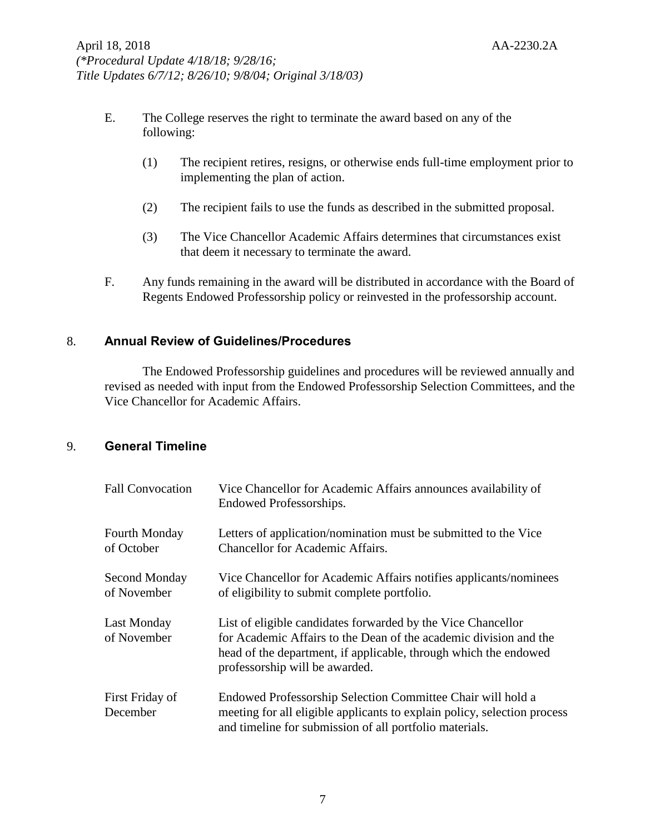- E. The College reserves the right to terminate the award based on any of the following:
	- (1) The recipient retires, resigns, or otherwise ends full-time employment prior to implementing the plan of action.
	- (2) The recipient fails to use the funds as described in the submitted proposal.
	- (3) The Vice Chancellor Academic Affairs determines that circumstances exist that deem it necessary to terminate the award.
- F. Any funds remaining in the award will be distributed in accordance with the Board of Regents Endowed Professorship policy or reinvested in the professorship account.

## 8. **Annual Review of Guidelines/Procedures**

The Endowed Professorship guidelines and procedures will be reviewed annually and revised as needed with input from the Endowed Professorship Selection Committees, and the Vice Chancellor for Academic Affairs.

## 9. **General Timeline**

| <b>Fall Convocation</b>            | Vice Chancellor for Academic Affairs announces availability of<br>Endowed Professorships.                                                                                                                                               |
|------------------------------------|-----------------------------------------------------------------------------------------------------------------------------------------------------------------------------------------------------------------------------------------|
| <b>Fourth Monday</b><br>of October | Letters of application/nomination must be submitted to the Vice<br><b>Chancellor for Academic Affairs.</b>                                                                                                                              |
| Second Monday<br>of November       | Vice Chancellor for Academic Affairs notifies applicants/nominees<br>of eligibility to submit complete portfolio.                                                                                                                       |
| Last Monday<br>of November         | List of eligible candidates forwarded by the Vice Chancellor<br>for Academic Affairs to the Dean of the academic division and the<br>head of the department, if applicable, through which the endowed<br>professorship will be awarded. |
| First Friday of<br>December        | Endowed Professorship Selection Committee Chair will hold a<br>meeting for all eligible applicants to explain policy, selection process<br>and timeline for submission of all portfolio materials.                                      |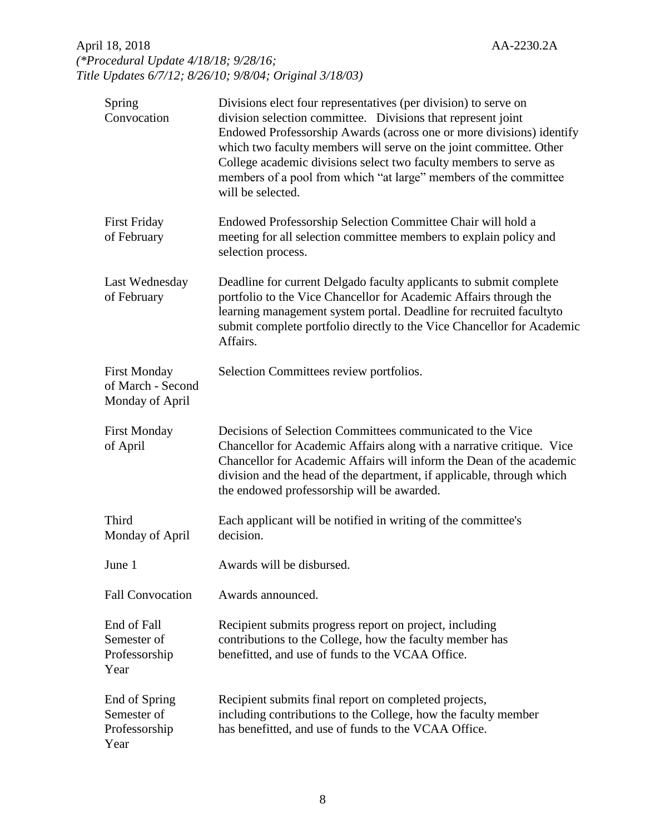# April 18, 2018 AA-2230.2A *(\*Procedural Update 4/18/18; 9/28/16; Title Updates 6/7/12; 8/26/10; 9/8/04; Original 3/18/03)*

| Spring<br>Convocation                                       | Divisions elect four representatives (per division) to serve on<br>division selection committee. Divisions that represent joint<br>Endowed Professorship Awards (across one or more divisions) identify<br>which two faculty members will serve on the joint committee. Other<br>College academic divisions select two faculty members to serve as<br>members of a pool from which "at large" members of the committee<br>will be selected. |
|-------------------------------------------------------------|---------------------------------------------------------------------------------------------------------------------------------------------------------------------------------------------------------------------------------------------------------------------------------------------------------------------------------------------------------------------------------------------------------------------------------------------|
| <b>First Friday</b><br>of February                          | Endowed Professorship Selection Committee Chair will hold a<br>meeting for all selection committee members to explain policy and<br>selection process.                                                                                                                                                                                                                                                                                      |
| Last Wednesday<br>of February                               | Deadline for current Delgado faculty applicants to submit complete<br>portfolio to the Vice Chancellor for Academic Affairs through the<br>learning management system portal. Deadline for recruited facultyto<br>submit complete portfolio directly to the Vice Chancellor for Academic<br>Affairs.                                                                                                                                        |
| <b>First Monday</b><br>of March - Second<br>Monday of April | Selection Committees review portfolios.                                                                                                                                                                                                                                                                                                                                                                                                     |
| <b>First Monday</b><br>of April                             | Decisions of Selection Committees communicated to the Vice<br>Chancellor for Academic Affairs along with a narrative critique. Vice<br>Chancellor for Academic Affairs will inform the Dean of the academic<br>division and the head of the department, if applicable, through which<br>the endowed professorship will be awarded.                                                                                                          |
| Third<br>Monday of April                                    | Each applicant will be notified in writing of the committee's<br>decision.                                                                                                                                                                                                                                                                                                                                                                  |
| June 1                                                      | Awards will be disbursed.                                                                                                                                                                                                                                                                                                                                                                                                                   |
| <b>Fall Convocation</b>                                     | Awards announced.                                                                                                                                                                                                                                                                                                                                                                                                                           |
| End of Fall<br>Semester of<br>Professorship<br>Year         | Recipient submits progress report on project, including<br>contributions to the College, how the faculty member has<br>benefitted, and use of funds to the VCAA Office.                                                                                                                                                                                                                                                                     |
| End of Spring<br>Semester of<br>Professorship<br>Year       | Recipient submits final report on completed projects,<br>including contributions to the College, how the faculty member<br>has benefitted, and use of funds to the VCAA Office.                                                                                                                                                                                                                                                             |